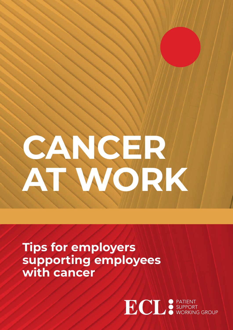

**Tips for employers supporting employees with cancer**

**ECL** SUPPORT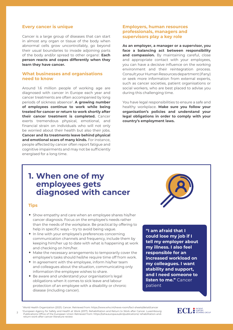### **Every cancer is unique**

Cancer is a large group of diseases that can start in almost any organ or tissue of the body when abnormal cells grow uncontrollably, go beyond their usual boundaries to invade adjoining parts of the body and/or spread to other organs<sup>1</sup>. **Each person reacts and copes differently when they learn they have cancer.** 

### **What businesses and organisations need to know**

Around 1.6 million people of working age are diagnosed with cancer in Europe each year and cancer treatments are often accompanied by long periods of sickness absence2. **A growing number of employees continue to work while being treated for cancer or return to work shortly after their cancer treatment is completed.** Cancer exerts tremendous physical, emotional, and financial strain on individuals who will not only be worried about their health but also their jobs. **Cancer and its treatments leave behind physical and emotional scars of many kinds.** For instance, people affected by cancer often report fatigue and cognitive impairments and may not be sufficiently energised for a long time.

### **Employers, human resources professionals, managers and supervisors play a key role**

**As an employer, a manager or a supervisor, you face a balancing act between responsibility**  and compassion. By maintaining careful, close and appropriate contact with your employees, you can have a decisive influence on the working environment and their reintegration process. Consult your Human Resources department (if any) or seek more information from external experts, such as cancer societies, patient organisations or social workers, who are best placed to advise you during this challenging time.

You have legal responsibilities to ensure a safe and healthy workplace. **Make sure you follow your organisation's policies and understand your legal obligations in order to comply with your country's employment laws.** 

## **1. When one of my employees gets diagnosed with cancer**

#### **Tips**

- Show empathy and care when an employee shares his/her cancer diagnosis. Focus on the employee's needs rather than the needs of the workplace. Be practical by offering to help in specific ways – try to avoid being vague.
- In line with your employee's preferences concerning communication channels and frequency, include them by keeping him/her up to date with what is happening at work and checking on him/her.
- Make the necessary arrangements to temporarily cover the employee's tasks should he/she require time off from work.
- In agreement with the employee, inform his/her team and colleagues about the situation, communicating only information the employee wishes to share.
- Be aware and understand your organisation's legal obligations when it comes to sick leave and labour protection of an employee with a disability or chronic disease (including cancer).

**"I am afraid that I could lose my job if I tell my employer about my illness. I also feel responsible for an increased workload on my colleagues. I want stability and support, and I need someone to listen to me."** Cancer patient

1 World Health Organization (2021). Cancer. Retrieved from: https://www.who.int/news-room/fact-sheets/detail/cancer

-European Agency for Safety and Health at Work (2017). Rehabilitation and Return to Work after Cancer. Luxembourg:<br>Publications Office of the European Union Retrieved from: https://osha.europa.eu/en/publications/ rehabilit return-work-after-cancer-literature-review



2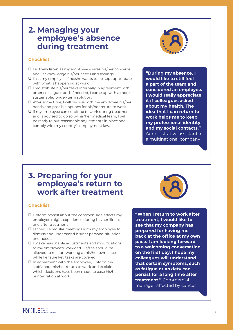# **2. Managing your employee's absence during treatment**

## **Checklist**

- ❏ I actively listen as my employee shares his/her concerns and I acknowledge his/her needs and feelings.
- ❏ I ask my employee if he/she wants to be kept up-to-date with what is happening at work.
- ❏ I redistribute his/her tasks internally in agreement with other colleagues and, if needed, I come up with a more sustainable, longer-term solution.
- ❏ After some time, I will discuss with my employee his/her needs and possible options for his/her return to work.
- ❏ If my employee can continue to work during treatment and is advised to do so by his/her medical team, I will be ready to put reasonable adjustments in place and comply with my country's employment law.



**"During my absence, I would like to still feel a part of the team and considered an employee. I would really appreciate it if colleagues asked about my health. The idea that I can return to work helps me to keep my professional identity and my social contacts."**  Administrative assistant in a multinational company

## **3. Preparing for your employee's return to work after treatment**

## **Checklist**

- ❏ I inform myself about the common side effects my employee might experience during his/her illness and after treatment.
- ❏ I schedule regular meetings with my employee to discuss and understand his/her personal situation and needs.
- ❏ I make reasonable adjustments and modifications to my employee's workload. He/she should be allowed to re-start working at his/her own pace while I ensure key tasks are covered.
- ❏ In agreement with the employee, I inform my staff about his/her return to work and explain which decisions have been made to ease his/her reintegration at work.



**"When I return to work after treatment, I would like to see that my company has prepared for having me back at the office at my own pace. I am looking forward to a welcoming conversation on the first day. I hope my colleagues will understand that certain symptoms, such as fatigue or anxiety can persist for a long time after treatment."** Commercial manager affected by cancer